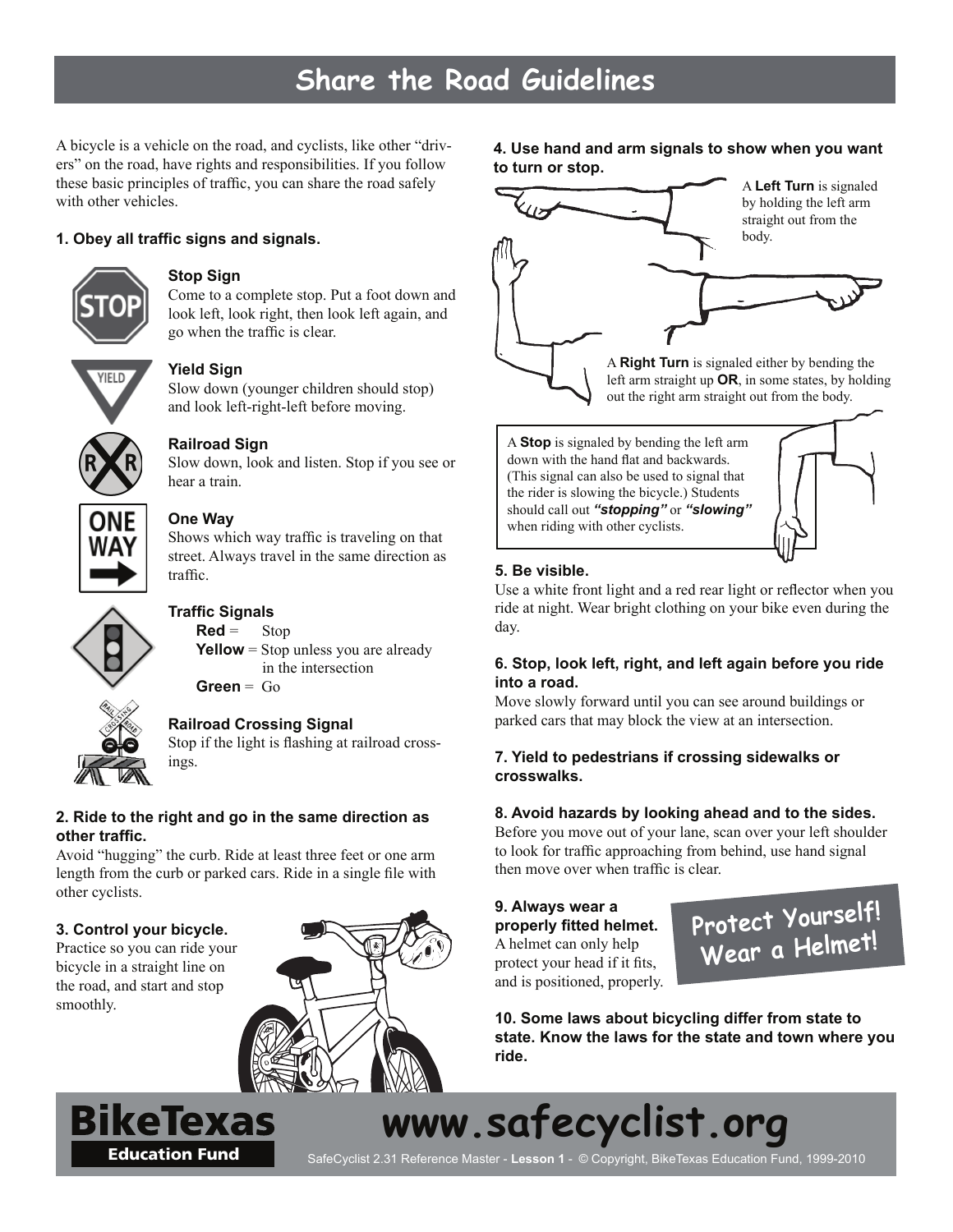# **Share the Road Guidelines**

A bicycle is a vehicle on the road, and cyclists, like other "drivers" on the road, have rights and responsibilities. If you follow these basic principles of traffic, you can share the road safely with other vehicles.

# **1. Obey all traffi c signs and signals.**



# **Stop Sign**

Come to a complete stop. Put a foot down and look left, look right, then look left again, and go when the traffic is clear.



#### **Yield Sign**

Slow down (younger children should stop) and look left-right-left before moving.



# **Railroad Sign**

Slow down, look and listen. Stop if you see or hear a train.



# **One Way**

Shows which way traffic is traveling on that street. Always travel in the same direction as traffic.



# **Traffi c Signals**

 $\text{Red} = \text{Stop}$ **Yellow** = Stop unless you are already in the intersection

**Green** = Go

# **Railroad Crossing Signal**

Stop if the light is flashing at railroad crossings.

#### **2. Ride to the right and go in the same direction as other traffi c.**

Avoid "hugging" the curb. Ride at least three feet or one arm length from the curb or parked cars. Ride in a single file with other cyclists.

# **3. Control your bicycle.**

Practice so you can ride your bicycle in a straight line on the road, and start and stop smoothly.

BikeTexas



**4. Use hand and arm signals to show when you want to turn or stop.**



A **Stop** is signaled by bending the left arm down with the hand flat and backwards. (This signal can also be used to signal that the rider is slowing the bicycle.) Students should call out *"stopping"* or *"slowing"* when riding with other cyclists.

# **5. Be visible.**

Use a white front light and a red rear light or reflector when you ride at night. Wear bright clothing on your bike even during the day.

# **6. Stop, look left, right, and left again before you ride into a road.**

Move slowly forward until you can see around buildings or parked cars that may block the view at an intersection.

# **7. Yield to pedestrians if crossing sidewalks or crosswalks.**

#### **8. Avoid hazards by looking ahead and to the sides.**

Before you move out of your lane, scan over your left shoulder to look for traffic approaching from behind, use hand signal then move over when traffic is clear.

#### **9. Always wear a properly fi tted helmet.**  A helmet can only help protect your head if it fits, and is positioned, properly.



**10. Some laws about bicycling differ from state to state. Know the laws for the state and town where you ride.**

**www.safecyclist.org**

Education Fund<br>
SafeCyclist 2.31 Reference Master - Lesson 1 - © Copyright, BikeTexas Education Fund, 1999-2010